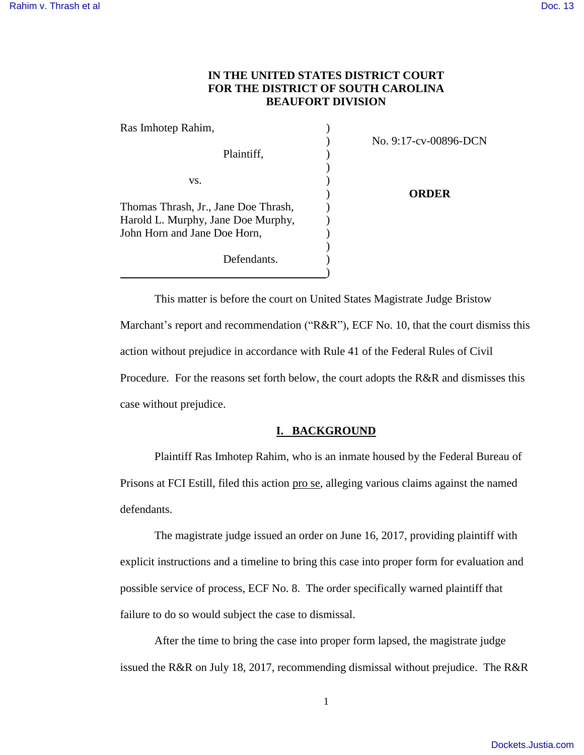# **IN THE UNITED STATES DISTRICT COURT FOR THE DISTRICT OF SOUTH CAROLINA BEAUFORT DIVISION**

| Ras Imhotep Rahim,                   |                       |
|--------------------------------------|-----------------------|
|                                      | No. 9:17-cv-00896-DCN |
| Plaintiff,                           |                       |
|                                      |                       |
| VS.                                  |                       |
|                                      | ORDER                 |
| Thomas Thrash, Jr., Jane Doe Thrash, |                       |
| Harold L. Murphy, Jane Doe Murphy,   |                       |
| John Horn and Jane Doe Horn,         |                       |
|                                      |                       |
| Defendants.                          |                       |
|                                      |                       |

This matter is before the court on United States Magistrate Judge Bristow Marchant's report and recommendation ("R&R"), ECF No. 10, that the court dismiss this action without prejudice in accordance with Rule 41 of the Federal Rules of Civil Procedure. For the reasons set forth below, the court adopts the R&R and dismisses this case without prejudice.

# **I. BACKGROUND**

Plaintiff Ras Imhotep Rahim, who is an inmate housed by the Federal Bureau of Prisons at FCI Estill, filed this action pro se, alleging various claims against the named defendants.

The magistrate judge issued an order on June 16, 2017, providing plaintiff with explicit instructions and a timeline to bring this case into proper form for evaluation and possible service of process, ECF No. 8. The order specifically warned plaintiff that failure to do so would subject the case to dismissal.

After the time to bring the case into proper form lapsed, the magistrate judge issued the R&R on July 18, 2017, recommending dismissal without prejudice. The R&R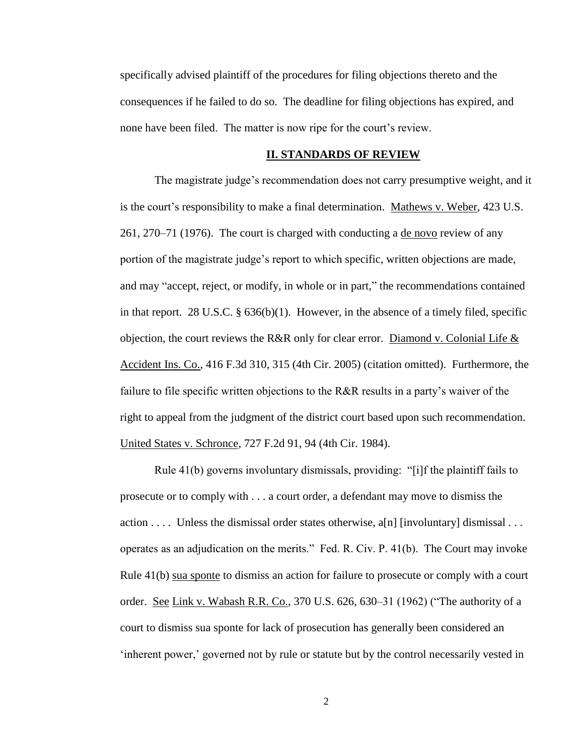specifically advised plaintiff of the procedures for filing objections thereto and the consequences if he failed to do so. The deadline for filing objections has expired, and none have been filed. The matter is now ripe for the court's review.

## **II. STANDARDS OF REVIEW**

The magistrate judge's recommendation does not carry presumptive weight, and it is the court's responsibility to make a final determination. Mathews v. Weber, 423 U.S. 261, 270–71 (1976). The court is charged with conducting a de novo review of any portion of the magistrate judge's report to which specific, written objections are made, and may "accept, reject, or modify, in whole or in part," the recommendations contained in that report. 28 U.S.C.  $\S 636(b)(1)$ . However, in the absence of a timely filed, specific objection, the court reviews the R&R only for clear error. Diamond v. Colonial Life & Accident Ins. Co., 416 F.3d 310, 315 (4th Cir. 2005) (citation omitted). Furthermore, the failure to file specific written objections to the R&R results in a party's waiver of the right to appeal from the judgment of the district court based upon such recommendation. United States v. Schronce, 727 F.2d 91, 94 (4th Cir. 1984).

Rule 41(b) governs involuntary dismissals, providing: "[i]f the plaintiff fails to prosecute or to comply with . . . a court order, a defendant may move to dismiss the action . . . . Unless the dismissal order states otherwise, a[n] [involuntary] dismissal . . . operates as an adjudication on the merits." Fed. R. Civ. P. 41(b). The Court may invoke Rule 41(b) sua sponte to dismiss an action for failure to prosecute or comply with a court order. See Link v. Wabash R.R. Co., 370 U.S. 626, 630-31 (1962) ("The authority of a court to dismiss sua sponte for lack of prosecution has generally been considered an 'inherent power,' governed not by rule or statute but by the control necessarily vested in